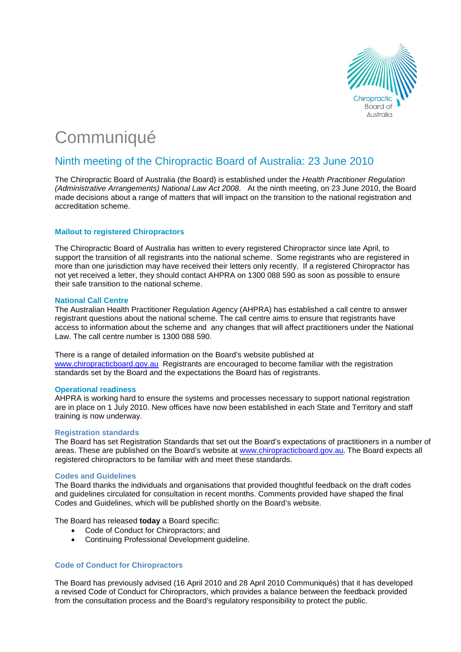

# **Communiqué**

# Ninth meeting of the Chiropractic Board of Australia: 23 June 2010

The Chiropractic Board of Australia (the Board) is established under the *Health Practitioner Regulation (Administrative Arrangements) National Law Act 2008*. At the ninth meeting, on 23 June 2010, the Board made decisions about a range of matters that will impact on the transition to the national registration and accreditation scheme.

### **Mailout to registered Chiropractors**

The Chiropractic Board of Australia has written to every registered Chiropractor since late April, to support the transition of all registrants into the national scheme. Some registrants who are registered in more than one jurisdiction may have received their letters only recently. If a registered Chiropractor has not yet received a letter, they should contact AHPRA on 1300 088 590 as soon as possible to ensure their safe transition to the national scheme.

#### **National Call Centre**

The Australian Health Practitioner Regulation Agency (AHPRA) has established a call centre to answer registrant questions about the national scheme. The call centre aims to ensure that registrants have access to information about the scheme and any changes that will affect practitioners under the National Law. The call centre number is 1300 088 590.

There is a range of detailed information on the Board's website published at [www.chiropracticboard.gov.au](http://www.chiropracticboard.gov.au/) Registrants are encouraged to become familiar with the registration standards set by the Board and the expectations the Board has of registrants.

#### **Operational readiness**

AHPRA is working hard to ensure the systems and processes necessary to support national registration are in place on 1 July 2010. New offices have now been established in each State and Territory and staff training is now underway.

#### **Registration standards**

The Board has set Registration Standards that set out the Board's expectations of practitioners in a number of areas. These are published on the Board's website at [www.chiropracticboard.gov.au](http://www.chiropracticboard.gov.au/). The Board expects all registered chiropractors to be familiar with and meet these standards.

#### **Codes and Guidelines**

The Board thanks the individuals and organisations that provided thoughtful feedback on the draft codes and guidelines circulated for consultation in recent months. Comments provided have shaped the final Codes and Guidelines, which will be published shortly on the Board's website.

The Board has released **today** a Board specific:

- Code of Conduct for Chiropractors; and
- Continuing Professional Development guideline.

## **Code of Conduct for Chiropractors**

The Board has previously advised (16 April 2010 and 28 April 2010 Communiqués) that it has developed a revised Code of Conduct for Chiropractors, which provides a balance between the feedback provided from the consultation process and the Board's regulatory responsibility to protect the public.